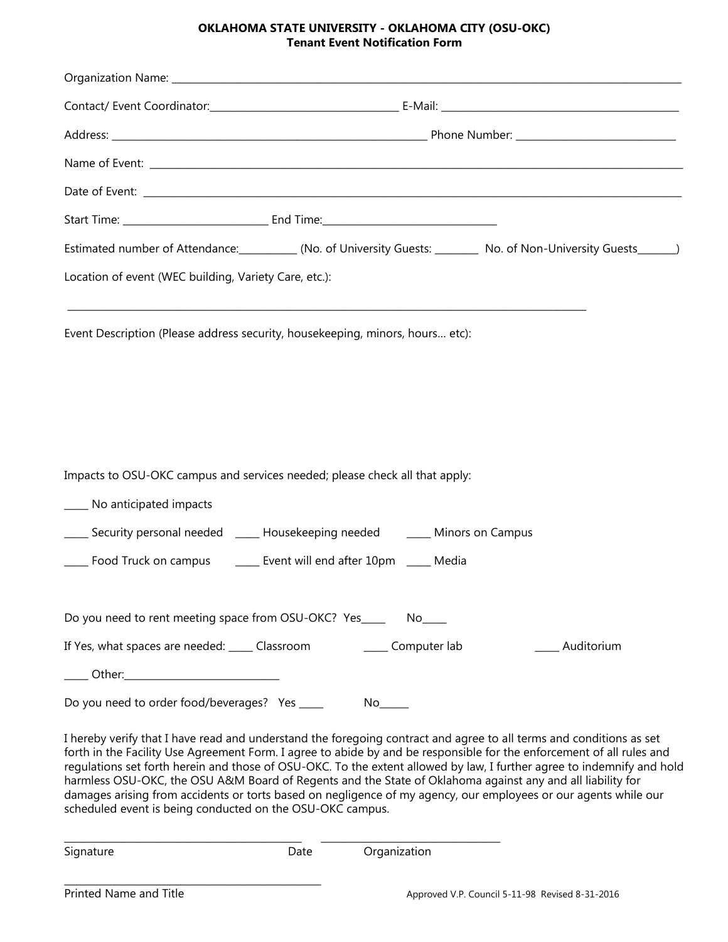## **OKLAHOMA STATE UNIVERSITY - OKLAHOMA CITY (OSU-OKC) Tenant Event Notification Form**

| Estimated number of Attendance: (No. of University Guests: No. of Non-University Guests (Non-University Guests                                                                                                                                                                                                                                                                                                                                                                                                                                                                                                                                                       |  |                    |               |  |
|----------------------------------------------------------------------------------------------------------------------------------------------------------------------------------------------------------------------------------------------------------------------------------------------------------------------------------------------------------------------------------------------------------------------------------------------------------------------------------------------------------------------------------------------------------------------------------------------------------------------------------------------------------------------|--|--------------------|---------------|--|
| Location of event (WEC building, Variety Care, etc.):                                                                                                                                                                                                                                                                                                                                                                                                                                                                                                                                                                                                                |  |                    |               |  |
| <u> 1989 - Johann Harry Harry Harry Harry Harry Harry Harry Harry Harry Harry Harry Harry Harry Harry Harry Harry</u><br>Event Description (Please address security, housekeeping, minors, hours etc):                                                                                                                                                                                                                                                                                                                                                                                                                                                               |  |                    |               |  |
| Impacts to OSU-OKC campus and services needed; please check all that apply:                                                                                                                                                                                                                                                                                                                                                                                                                                                                                                                                                                                          |  |                    |               |  |
| ____ No anticipated impacts                                                                                                                                                                                                                                                                                                                                                                                                                                                                                                                                                                                                                                          |  |                    |               |  |
| ____ Security personal needed _____ Housekeeping needed ______ Minors on Campus                                                                                                                                                                                                                                                                                                                                                                                                                                                                                                                                                                                      |  |                    |               |  |
| ____ Food Truck on campus _______ Event will end after 10pm _____ Media                                                                                                                                                                                                                                                                                                                                                                                                                                                                                                                                                                                              |  |                    |               |  |
| Do you need to rent meeting space from OSU-OKC? Yes_______ No____                                                                                                                                                                                                                                                                                                                                                                                                                                                                                                                                                                                                    |  |                    |               |  |
| If Yes, what spaces are needed: _____ Classroom                                                                                                                                                                                                                                                                                                                                                                                                                                                                                                                                                                                                                      |  | _____ Computer lab | __ Auditorium |  |
| _____ Other:______________________________                                                                                                                                                                                                                                                                                                                                                                                                                                                                                                                                                                                                                           |  |                    |               |  |
| Do you need to order food/beverages? Yes ____                                                                                                                                                                                                                                                                                                                                                                                                                                                                                                                                                                                                                        |  |                    |               |  |
| I hereby verify that I have read and understand the foregoing contract and agree to all terms and conditions as set<br>forth in the Facility Use Agreement Form. I agree to abide by and be responsible for the enforcement of all rules and<br>regulations set forth herein and those of OSU-OKC. To the extent allowed by law, I further agree to indemnify and hold<br>harmless OSU-OKC, the OSU A&M Board of Regents and the State of Oklahoma against any and all liability for<br>damages arising from accidents or torts based on negligence of my agency, our employees or our agents while our<br>scheduled event is being conducted on the OSU-OKC campus. |  |                    |               |  |

\_\_\_\_\_\_\_\_\_\_\_\_\_\_\_\_\_\_\_\_\_\_\_\_\_\_\_\_\_\_\_\_\_\_\_\_\_\_\_\_\_\_\_\_\_\_\_\_\_ \_\_\_\_\_\_\_\_\_\_\_\_\_\_\_\_\_\_\_\_\_\_\_\_\_\_\_\_\_\_\_\_\_\_\_\_\_

\_\_\_\_\_\_\_\_\_\_\_\_\_\_\_\_\_\_\_\_\_\_\_\_\_\_\_\_\_\_\_\_\_\_\_\_\_\_\_\_\_\_\_\_\_\_\_\_\_\_\_\_\_